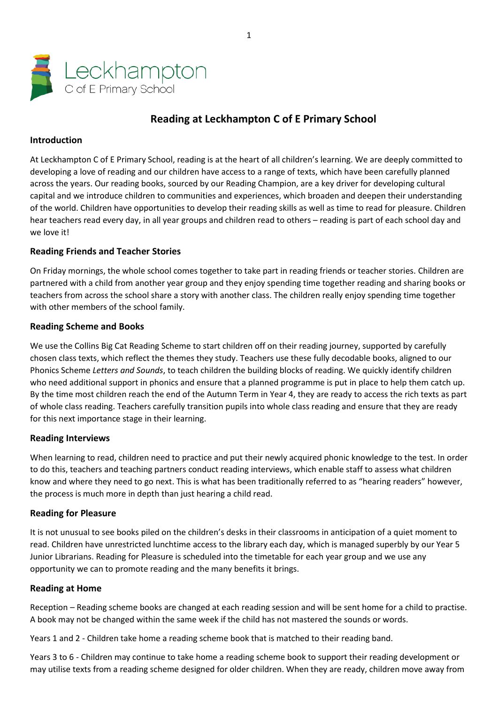

# **Reading at Leckhampton C of E Primary School**

## **Introduction**

At Leckhampton C of E Primary School, reading is at the heart of all children's learning. We are deeply committed to developing a love of reading and our children have access to a range of texts, which have been carefully planned across the years. Our reading books, sourced by our Reading Champion, are a key driver for developing cultural capital and we introduce children to communities and experiences, which broaden and deepen their understanding of the world. Children have opportunities to develop their reading skills as well as time to read for pleasure. Children hear teachers read every day, in all year groups and children read to others – reading is part of each school day and we love it!

# **Reading Friends and Teacher Stories**

On Friday mornings, the whole school comes together to take part in reading friends or teacher stories. Children are partnered with a child from another year group and they enjoy spending time together reading and sharing books or teachers from across the school share a story with another class. The children really enjoy spending time together with other members of the school family.

## **Reading Scheme and Books**

We use the Collins Big Cat Reading Scheme to start children off on their reading journey, supported by carefully chosen class texts, which reflect the themes they study. Teachers use these fully decodable books, aligned to our Phonics Scheme *Letters and Sounds*, to teach children the building blocks of reading. We quickly identify children who need additional support in phonics and ensure that a planned programme is put in place to help them catch up. By the time most children reach the end of the Autumn Term in Year 4, they are ready to access the rich texts as part of whole class reading. Teachers carefully transition pupils into whole class reading and ensure that they are ready for this next importance stage in their learning.

## **Reading Interviews**

When learning to read, children need to practice and put their newly acquired phonic knowledge to the test. In order to do this, teachers and teaching partners conduct reading interviews, which enable staff to assess what children know and where they need to go next. This is what has been traditionally referred to as "hearing readers" however, the process is much more in depth than just hearing a child read.

## **Reading for Pleasure**

It is not unusual to see books piled on the children's desks in their classrooms in anticipation of a quiet moment to read. Children have unrestricted lunchtime access to the library each day, which is managed superbly by our Year 5 Junior Librarians. Reading for Pleasure is scheduled into the timetable for each year group and we use any opportunity we can to promote reading and the many benefits it brings.

#### **Reading at Home**

Reception – Reading scheme books are changed at each reading session and will be sent home for a child to practise. A book may not be changed within the same week if the child has not mastered the sounds or words.

Years 1 and 2 - Children take home a reading scheme book that is matched to their reading band.

Years 3 to 6 - Children may continue to take home a reading scheme book to support their reading development or may utilise texts from a reading scheme designed for older children. When they are ready, children move away from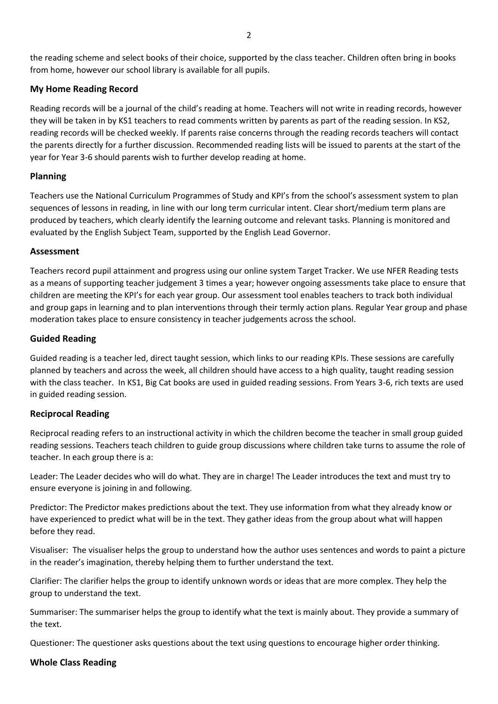# **My Home Reading Record**

Reading records will be a journal of the child's reading at home. Teachers will not write in reading records, however they will be taken in by KS1 teachers to read comments written by parents as part of the reading session. In KS2, reading records will be checked weekly. If parents raise concerns through the reading records teachers will contact the parents directly for a further discussion. Recommended reading lists will be issued to parents at the start of the year for Year 3-6 should parents wish to further develop reading at home.

# **Planning**

Teachers use the National Curriculum Programmes of Study and KPI's from the school's assessment system to plan sequences of lessons in reading, in line with our long term curricular intent. Clear short/medium term plans are produced by teachers, which clearly identify the learning outcome and relevant tasks. Planning is monitored and evaluated by the English Subject Team, supported by the English Lead Governor.

## **Assessment**

Teachers record pupil attainment and progress using our online system Target Tracker. We use NFER Reading tests as a means of supporting teacher judgement 3 times a year; however ongoing assessments take place to ensure that children are meeting the KPI's for each year group. Our assessment tool enables teachers to track both individual and group gaps in learning and to plan interventions through their termly action plans. Regular Year group and phase moderation takes place to ensure consistency in teacher judgements across the school.

## **Guided Reading**

Guided reading is a teacher led, direct taught session, which links to our reading KPIs. These sessions are carefully planned by teachers and across the week, all children should have access to a high quality, taught reading session with the class teacher. In KS1, Big Cat books are used in guided reading sessions. From Years 3-6, rich texts are used in guided reading session.

## **Reciprocal Reading**

Reciprocal reading refers to an instructional activity in which the children become the teacher in small group guided reading sessions. Teachers teach children to guide group discussions where children take turns to assume the role of teacher. In each group there is a:

Leader: The Leader decides who will do what. They are in charge! The Leader introduces the text and must try to ensure everyone is joining in and following.

Predictor: The Predictor makes predictions about the text. They use information from what they already know or have experienced to predict what will be in the text. They gather ideas from the group about what will happen before they read.

Visualiser: The visualiser helps the group to understand how the author uses sentences and words to paint a picture in the reader's imagination, thereby helping them to further understand the text.

Clarifier: The clarifier helps the group to identify unknown words or ideas that are more complex. They help the group to understand the text.

Summariser: The summariser helps the group to identify what the text is mainly about. They provide a summary of the text.

Questioner: The questioner asks questions about the text using questions to encourage higher order thinking.

## **Whole Class Reading**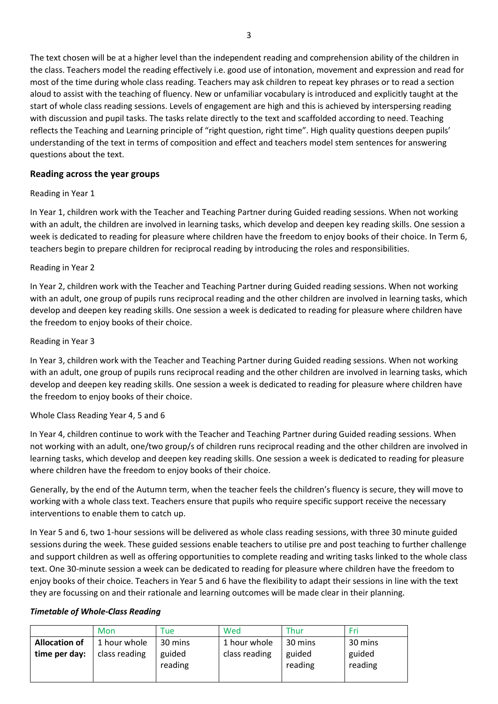The text chosen will be at a higher level than the independent reading and comprehension ability of the children in the class. Teachers model the reading effectively i.e. good use of intonation, movement and expression and read for most of the time during whole class reading. Teachers may ask children to repeat key phrases or to read a section aloud to assist with the teaching of fluency. New or unfamiliar vocabulary is introduced and explicitly taught at the start of whole class reading sessions. Levels of engagement are high and this is achieved by interspersing reading with discussion and pupil tasks. The tasks relate directly to the text and scaffolded according to need. Teaching reflects the Teaching and Learning principle of "right question, right time". High quality questions deepen pupils' understanding of the text in terms of composition and effect and teachers model stem sentences for answering questions about the text.

#### **Reading across the year groups**

#### Reading in Year 1

In Year 1, children work with the Teacher and Teaching Partner during Guided reading sessions. When not working with an adult, the children are involved in learning tasks, which develop and deepen key reading skills. One session a week is dedicated to reading for pleasure where children have the freedom to enjoy books of their choice. In Term 6, teachers begin to prepare children for reciprocal reading by introducing the roles and responsibilities.

#### Reading in Year 2

In Year 2, children work with the Teacher and Teaching Partner during Guided reading sessions. When not working with an adult, one group of pupils runs reciprocal reading and the other children are involved in learning tasks, which develop and deepen key reading skills. One session a week is dedicated to reading for pleasure where children have the freedom to enjoy books of their choice.

#### Reading in Year 3

In Year 3, children work with the Teacher and Teaching Partner during Guided reading sessions. When not working with an adult, one group of pupils runs reciprocal reading and the other children are involved in learning tasks, which develop and deepen key reading skills. One session a week is dedicated to reading for pleasure where children have the freedom to enjoy books of their choice.

## Whole Class Reading Year 4, 5 and 6

In Year 4, children continue to work with the Teacher and Teaching Partner during Guided reading sessions. When not working with an adult, one/two group/s of children runs reciprocal reading and the other children are involved in learning tasks, which develop and deepen key reading skills. One session a week is dedicated to reading for pleasure where children have the freedom to enjoy books of their choice.

Generally, by the end of the Autumn term, when the teacher feels the children's fluency is secure, they will move to working with a whole class text. Teachers ensure that pupils who require specific support receive the necessary interventions to enable them to catch up.

In Year 5 and 6, two 1-hour sessions will be delivered as whole class reading sessions, with three 30 minute guided sessions during the week. These guided sessions enable teachers to utilise pre and post teaching to further challenge and support children as well as offering opportunities to complete reading and writing tasks linked to the whole class text. One 30-minute session a week can be dedicated to reading for pleasure where children have the freedom to enjoy books of their choice. Teachers in Year 5 and 6 have the flexibility to adapt their sessions in line with the text they are focussing on and their rationale and learning outcomes will be made clear in their planning.

#### *Timetable of Whole-Class Reading*

|                                                 | Mon           | Tue          | Wed           | Thur    | Fri     |
|-------------------------------------------------|---------------|--------------|---------------|---------|---------|
| 1 hour whole<br><b>Allocation of</b><br>30 mins |               | 1 hour whole | 30 mins       |         |         |
| time per day:                                   | class reading | guided       | class reading | guided  | guided  |
|                                                 |               | reading      |               | reading | reading |
|                                                 |               |              |               |         |         |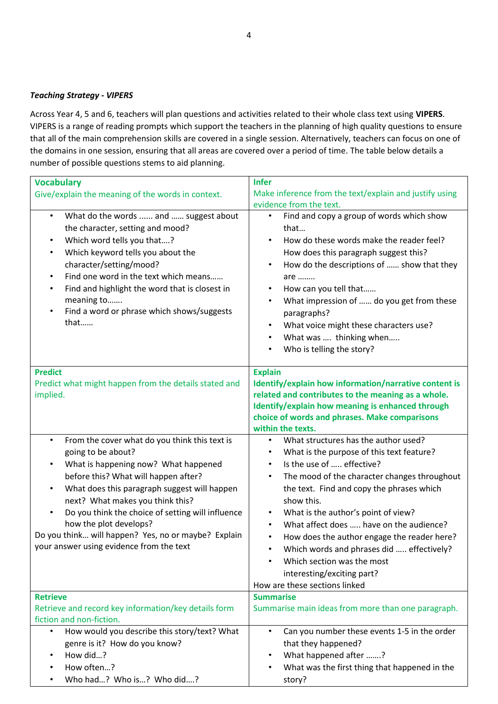#### *Teaching Strategy - VIPERS*

Across Year 4, 5 and 6, teachers will plan questions and activities related to their whole class text using **VIPERS**. VIPERS is a range of reading prompts which support the teachers in the planning of high quality questions to ensure that all of the main comprehension skills are covered in a single session. Alternatively, teachers can focus on one of the domains in one session, ensuring that all areas are covered over a period of time. The table below details a number of possible questions stems to aid planning.

| <b>Vocabulary</b>                                                                      | <b>Infer</b>                                                   |  |  |
|----------------------------------------------------------------------------------------|----------------------------------------------------------------|--|--|
| Give/explain the meaning of the words in context.                                      | Make inference from the text/explain and justify using         |  |  |
|                                                                                        | evidence from the text.                                        |  |  |
| What do the words  and  suggest about<br>$\bullet$<br>the character, setting and mood? | Find and copy a group of words which show<br>$\bullet$<br>that |  |  |
| Which word tells you that?<br>$\bullet$                                                | How do these words make the reader feel?                       |  |  |
| Which keyword tells you about the<br>$\bullet$                                         | How does this paragraph suggest this?                          |  |  |
| character/setting/mood?                                                                | How do the descriptions of  show that they                     |  |  |
| Find one word in the text which means<br>$\bullet$                                     | are                                                            |  |  |
| Find and highlight the word that is closest in<br>$\bullet$                            | How can you tell that                                          |  |  |
| meaning to                                                                             | What impression of  do you get from these                      |  |  |
| Find a word or phrase which shows/suggests<br>$\bullet$                                | paragraphs?                                                    |  |  |
| that                                                                                   | What voice might these characters use?                         |  |  |
|                                                                                        | What was  thinking when<br>$\bullet$                           |  |  |
|                                                                                        | Who is telling the story?                                      |  |  |
|                                                                                        |                                                                |  |  |
| <b>Predict</b>                                                                         | <b>Explain</b>                                                 |  |  |
| Predict what might happen from the details stated and                                  | Identify/explain how information/narrative content is          |  |  |
| implied.                                                                               | related and contributes to the meaning as a whole.             |  |  |
|                                                                                        | Identify/explain how meaning is enhanced through               |  |  |
|                                                                                        | choice of words and phrases. Make comparisons                  |  |  |
|                                                                                        | within the texts.                                              |  |  |
| From the cover what do you think this text is<br>$\bullet$                             | What structures has the author used?                           |  |  |
| going to be about?                                                                     | What is the purpose of this text feature?<br>$\bullet$         |  |  |
| What is happening now? What happened<br>$\bullet$                                      | Is the use of  effective?                                      |  |  |
| before this? What will happen after?                                                   | The mood of the character changes throughout<br>$\bullet$      |  |  |
| What does this paragraph suggest will happen<br>$\bullet$                              | the text. Find and copy the phrases which                      |  |  |
| next? What makes you think this?                                                       | show this.                                                     |  |  |
| Do you think the choice of setting will influence<br>$\bullet$                         | What is the author's point of view?<br>$\bullet$               |  |  |
| how the plot develops?                                                                 | What affect does  have on the audience?                        |  |  |
| Do you think will happen? Yes, no or maybe? Explain                                    | How does the author engage the reader here?<br>$\bullet$       |  |  |
| your answer using evidence from the text                                               | Which words and phrases did  effectively?                      |  |  |
|                                                                                        | Which section was the most                                     |  |  |
|                                                                                        | interesting/exciting part?                                     |  |  |
|                                                                                        | How are these sections linked                                  |  |  |
| <b>Retrieve</b>                                                                        | <b>Summarise</b>                                               |  |  |
| Retrieve and record key information/key details form                                   | Summarise main ideas from more than one paragraph.             |  |  |
| fiction and non-fiction.                                                               |                                                                |  |  |
| How would you describe this story/text? What<br>$\bullet$                              | Can you number these events 1-5 in the order<br>$\bullet$      |  |  |
| genre is it? How do you know?                                                          | that they happened?                                            |  |  |
| How did?                                                                               | What happened after ?                                          |  |  |
| How often?                                                                             | What was the first thing that happened in the                  |  |  |
| Who had? Who is? Who did?                                                              | story?                                                         |  |  |